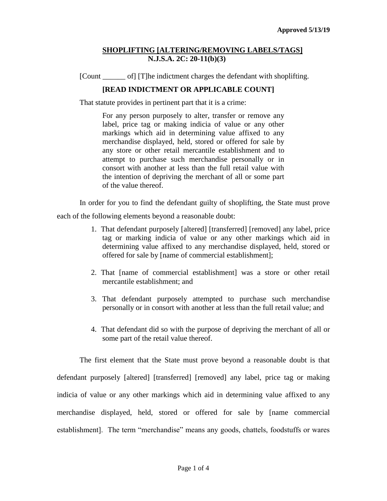## **SHOPLIFTING [ALTERING/REMOVING LABELS/TAGS] N.J.S.A. 2C: 20-11(b)(3)**

[Count \_\_\_\_\_\_ of] [T]he indictment charges the defendant with shoplifting.

## **[READ INDICTMENT OR APPLICABLE COUNT]**

That statute provides in pertinent part that it is a crime:

For any person purposely to alter, transfer or remove any label, price tag or making indicia of value or any other markings which aid in determining value affixed to any merchandise displayed, held, stored or offered for sale by any store or other retail mercantile establishment and to attempt to purchase such merchandise personally or in consort with another at less than the full retail value with the intention of depriving the merchant of all or some part of the value thereof.

In order for you to find the defendant guilty of shoplifting, the State must prove each of the following elements beyond a reasonable doubt:

- 1. That defendant purposely [altered] [transferred] [removed] any label, price tag or marking indicia of value or any other markings which aid in determining value affixed to any merchandise displayed, held, stored or offered for sale by [name of commercial establishment];
- 2. That [name of commercial establishment] was a store or other retail mercantile establishment; and
- 3. That defendant purposely attempted to purchase such merchandise personally or in consort with another at less than the full retail value; and
- 4. That defendant did so with the purpose of depriving the merchant of all or some part of the retail value thereof.

The first element that the State must prove beyond a reasonable doubt is that defendant purposely [altered] [transferred] [removed] any label, price tag or making indicia of value or any other markings which aid in determining value affixed to any merchandise displayed, held, stored or offered for sale by [name commercial establishment]. The term "merchandise" means any goods, chattels, foodstuffs or wares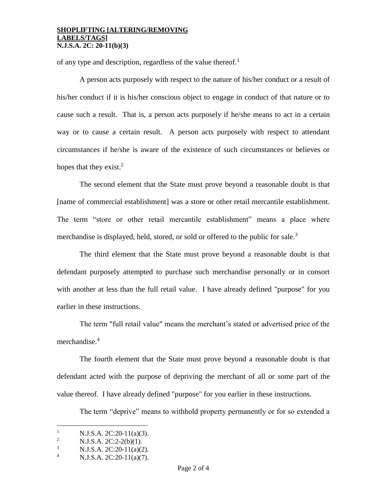### **SHOPLIFTING [ALTERING/REMOVING LABELS/TAGS] N.J.S.A. 2C: 20-11(b)(3)**

of any type and description, regardless of the value thereof.<sup>1</sup>

A person acts purposely with respect to the nature of his/her conduct or a result of his/her conduct if it is his/her conscious object to engage in conduct of that nature or to cause such a result. That is, a person acts purposely if he/she means to act in a certain way or to cause a certain result. A person acts purposely with respect to attendant circumstances if he/she is aware of the existence of such circumstances or believes or hopes that they exist. $2$ 

The second element that the State must prove beyond a reasonable doubt is that [name of commercial establishment] was a store or other retail mercantile establishment. The term "store or other retail mercantile establishment" means a place where merchandise is displayed, held, stored, or sold or offered to the public for sale.<sup>3</sup>

The third element that the State must prove beyond a reasonable doubt is that defendant purposely attempted to purchase such merchandise personally or in consort with another at less than the full retail value. I have already defined "purpose" for you earlier in these instructions.

The term "full retail value" means the merchant's stated or advertised price of the merchandise.<sup>4</sup>

The fourth element that the State must prove beyond a reasonable doubt is that defendant acted with the purpose of depriving the merchant of all or some part of the value thereof. I have already defined "purpose" for you earlier in these instructions.

The term "deprive" means to withhold property permanently or for so extended a

 $\overline{a}$ 

<sup>&</sup>lt;sup>1</sup> N.J.S.A. 2C:20-11(a)(3).<br><sup>2</sup> N.J.S.A. 2C:2. 2(b)(1).

<sup>&</sup>lt;sup>2</sup> N.J.S.A. 2C:2-2(b)(1).<br><sup>3</sup> N.J.S.A. 2C:20. 11(a)(2)

<sup>&</sup>lt;sup>3</sup> N.J.S.A. 2C:20-11(a)(2).<br><sup>4</sup> N.J.S.A. 2C:20-11(a)(7)

N.J.S.A. 2C:20-11(a)(7).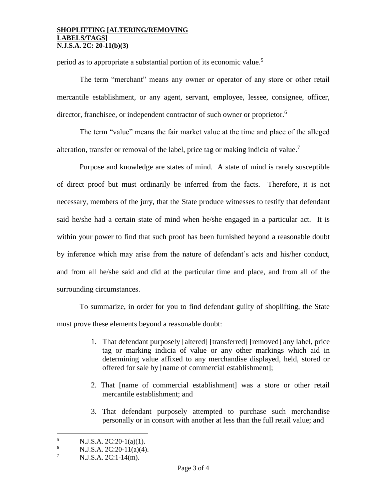### **SHOPLIFTING [ALTERING/REMOVING LABELS/TAGS] N.J.S.A. 2C: 20-11(b)(3)**

period as to appropriate a substantial portion of its economic value.<sup>5</sup>

The term "merchant" means any owner or operator of any store or other retail mercantile establishment, or any agent, servant, employee, lessee, consignee, officer, director, franchisee, or independent contractor of such owner or proprietor.<sup>6</sup>

The term "value" means the fair market value at the time and place of the alleged alteration, transfer or removal of the label, price tag or making indicia of value.<sup>7</sup>

Purpose and knowledge are states of mind. A state of mind is rarely susceptible of direct proof but must ordinarily be inferred from the facts. Therefore, it is not necessary, members of the jury, that the State produce witnesses to testify that defendant said he/she had a certain state of mind when he/she engaged in a particular act. It is within your power to find that such proof has been furnished beyond a reasonable doubt by inference which may arise from the nature of defendant's acts and his/her conduct, and from all he/she said and did at the particular time and place, and from all of the surrounding circumstances.

To summarize, in order for you to find defendant guilty of shoplifting, the State must prove these elements beyond a reasonable doubt:

- 1. That defendant purposely [altered] [transferred] [removed] any label, price tag or marking indicia of value or any other markings which aid in determining value affixed to any merchandise displayed, held, stored or offered for sale by [name of commercial establishment];
- 2. That [name of commercial establishment] was a store or other retail mercantile establishment; and
- 3. That defendant purposely attempted to purchase such merchandise personally or in consort with another at less than the full retail value; and

 $\overline{a}$ 

 $\frac{5}{6}$  N.J.S.A. 2C:20-1(a)(1).

N.J.S.A. 2C:20-11(a)(4).

 $7$  N.J.S.A. 2C:1-14(m).